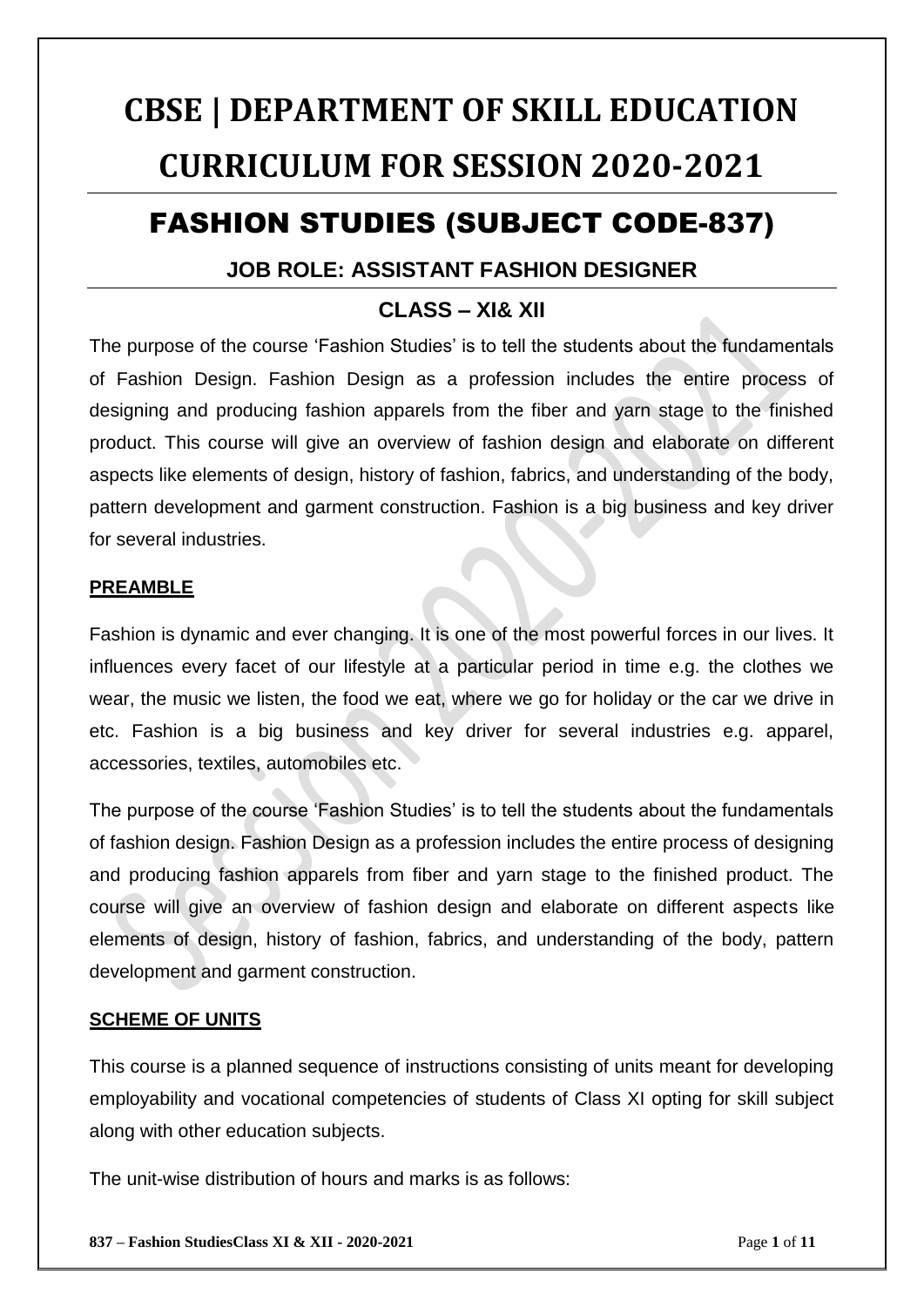# **CBSE | DEPARTMENT OF SKILL EDUCATION CURRICULUM FOR SESSION 2020-2021**

# FASHION STUDIES (SUBJECT CODE-837)

# **JOB ROLE: ASSISTANT FASHION DESIGNER**

# **CLASS – XI& XII**

The purpose of the course 'Fashion Studies' is to tell the students about the fundamentals of Fashion Design. Fashion Design as a profession includes the entire process of designing and producing fashion apparels from the fiber and yarn stage to the finished product. This course will give an overview of fashion design and elaborate on different aspects like elements of design, history of fashion, fabrics, and understanding of the body, pattern development and garment construction. Fashion is a big business and key driver for several industries.

#### **PREAMBLE**

Fashion is dynamic and ever changing. It is one of the most powerful forces in our lives. It influences every facet of our lifestyle at a particular period in time e.g. the clothes we wear, the music we listen, the food we eat, where we go for holiday or the car we drive in etc. Fashion is a big business and key driver for several industries e.g. apparel, accessories, textiles, automobiles etc.

The purpose of the course 'Fashion Studies' is to tell the students about the fundamentals of fashion design. Fashion Design as a profession includes the entire process of designing and producing fashion apparels from fiber and yarn stage to the finished product. The course will give an overview of fashion design and elaborate on different aspects like elements of design, history of fashion, fabrics, and understanding of the body, pattern development and garment construction.

#### **SCHEME OF UNITS**

This course is a planned sequence of instructions consisting of units meant for developing employability and vocational competencies of students of Class XI opting for skill subject along with other education subjects.

The unit-wise distribution of hours and marks is as follows: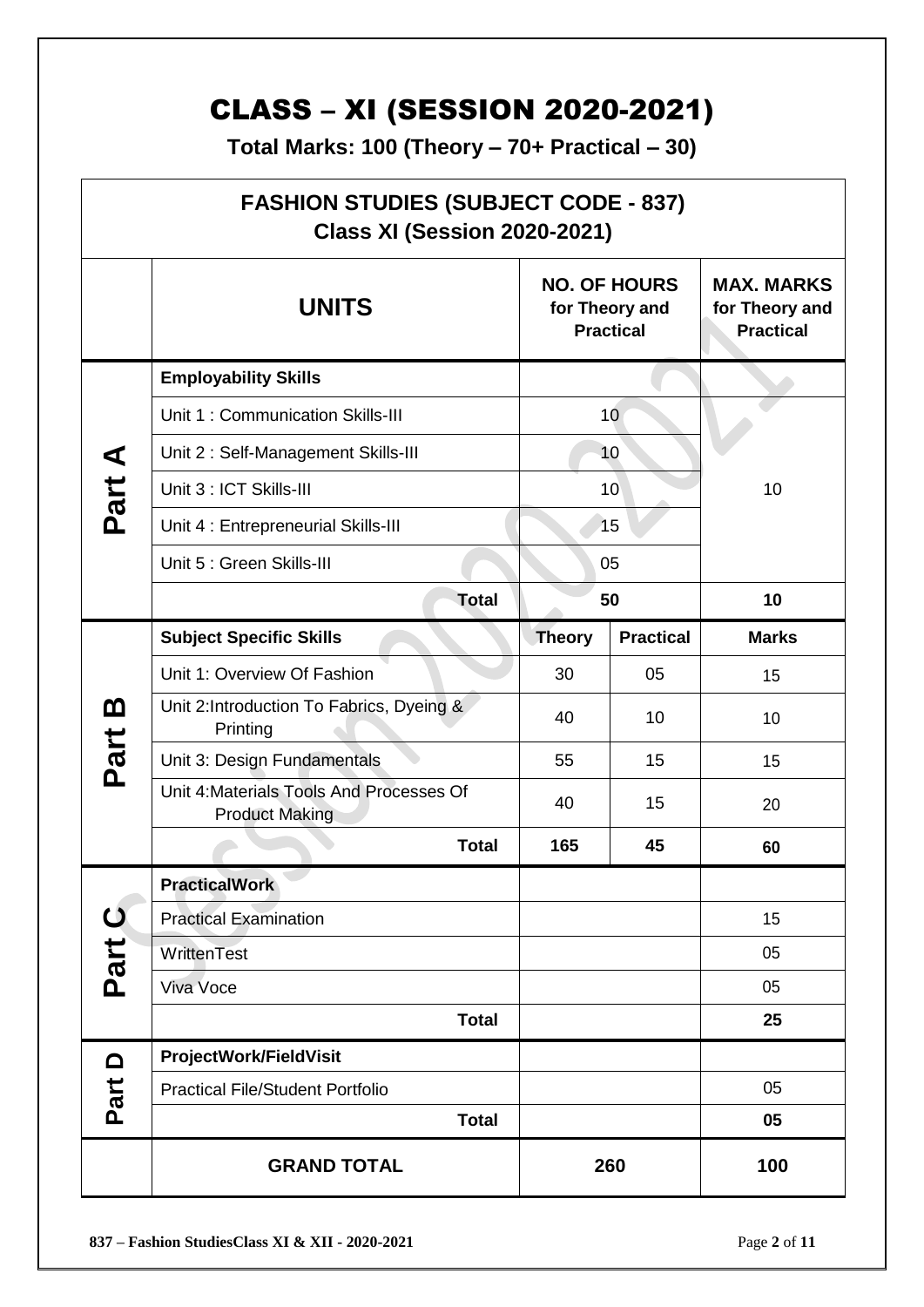# CLASS – XI (SESSION 2020-2021)

**Total Marks: 100 (Theory – 70+ Practical – 30)**

| <b>FASHION STUDIES (SUBJECT CODE - 837)</b><br><b>Class XI (Session 2020-2021)</b> |                                                                   |                                                           |                  |                                                         |  |  |
|------------------------------------------------------------------------------------|-------------------------------------------------------------------|-----------------------------------------------------------|------------------|---------------------------------------------------------|--|--|
|                                                                                    | <b>UNITS</b>                                                      | <b>NO. OF HOURS</b><br>for Theory and<br><b>Practical</b> |                  | <b>MAX. MARKS</b><br>for Theory and<br><b>Practical</b> |  |  |
| ⋖<br>Part                                                                          | <b>Employability Skills</b>                                       |                                                           |                  |                                                         |  |  |
|                                                                                    | Unit 1: Communication Skills-III                                  | 10                                                        |                  |                                                         |  |  |
|                                                                                    | Unit 2: Self-Management Skills-III                                | 10                                                        |                  |                                                         |  |  |
|                                                                                    | Unit 3 : ICT Skills-III                                           | 10                                                        |                  | 10                                                      |  |  |
|                                                                                    | Unit 4 : Entrepreneurial Skills-III                               | 15                                                        |                  |                                                         |  |  |
|                                                                                    | Unit 5 : Green Skills-III                                         | 05                                                        |                  |                                                         |  |  |
|                                                                                    | <b>Total</b>                                                      | 50                                                        |                  | 10                                                      |  |  |
|                                                                                    | <b>Subject Specific Skills</b>                                    | <b>Theory</b>                                             | <b>Practical</b> | <b>Marks</b>                                            |  |  |
|                                                                                    | Unit 1: Overview Of Fashion                                       | 30                                                        | 05               | 15                                                      |  |  |
| <u>ന</u>                                                                           | Unit 2: Introduction To Fabrics, Dyeing &<br>Printing             | 40                                                        | 10               | 10                                                      |  |  |
| Part                                                                               | Unit 3: Design Fundamentals                                       | 55                                                        | 15               | 15                                                      |  |  |
|                                                                                    | Unit 4: Materials Tools And Processes Of<br><b>Product Making</b> | 40                                                        | 15               | 20                                                      |  |  |
|                                                                                    | <b>Total</b>                                                      | 165                                                       | 45               | 60                                                      |  |  |
|                                                                                    | <b>PracticalWork</b>                                              |                                                           |                  |                                                         |  |  |
| ပ                                                                                  | <b>Practical Examination</b>                                      |                                                           |                  | 15                                                      |  |  |
| Part                                                                               | WrittenTest                                                       |                                                           |                  | 05                                                      |  |  |
|                                                                                    | Viva Voce                                                         |                                                           |                  | 05                                                      |  |  |
|                                                                                    | <b>Total</b>                                                      |                                                           |                  | 25                                                      |  |  |
| $\Omega$<br>Part                                                                   | ProjectWork/FieldVisit                                            |                                                           |                  |                                                         |  |  |
|                                                                                    | <b>Practical File/Student Portfolio</b>                           |                                                           |                  | 05                                                      |  |  |
|                                                                                    | <b>Total</b>                                                      |                                                           |                  | 05                                                      |  |  |
|                                                                                    | <b>GRAND TOTAL</b>                                                | 260                                                       |                  | 100                                                     |  |  |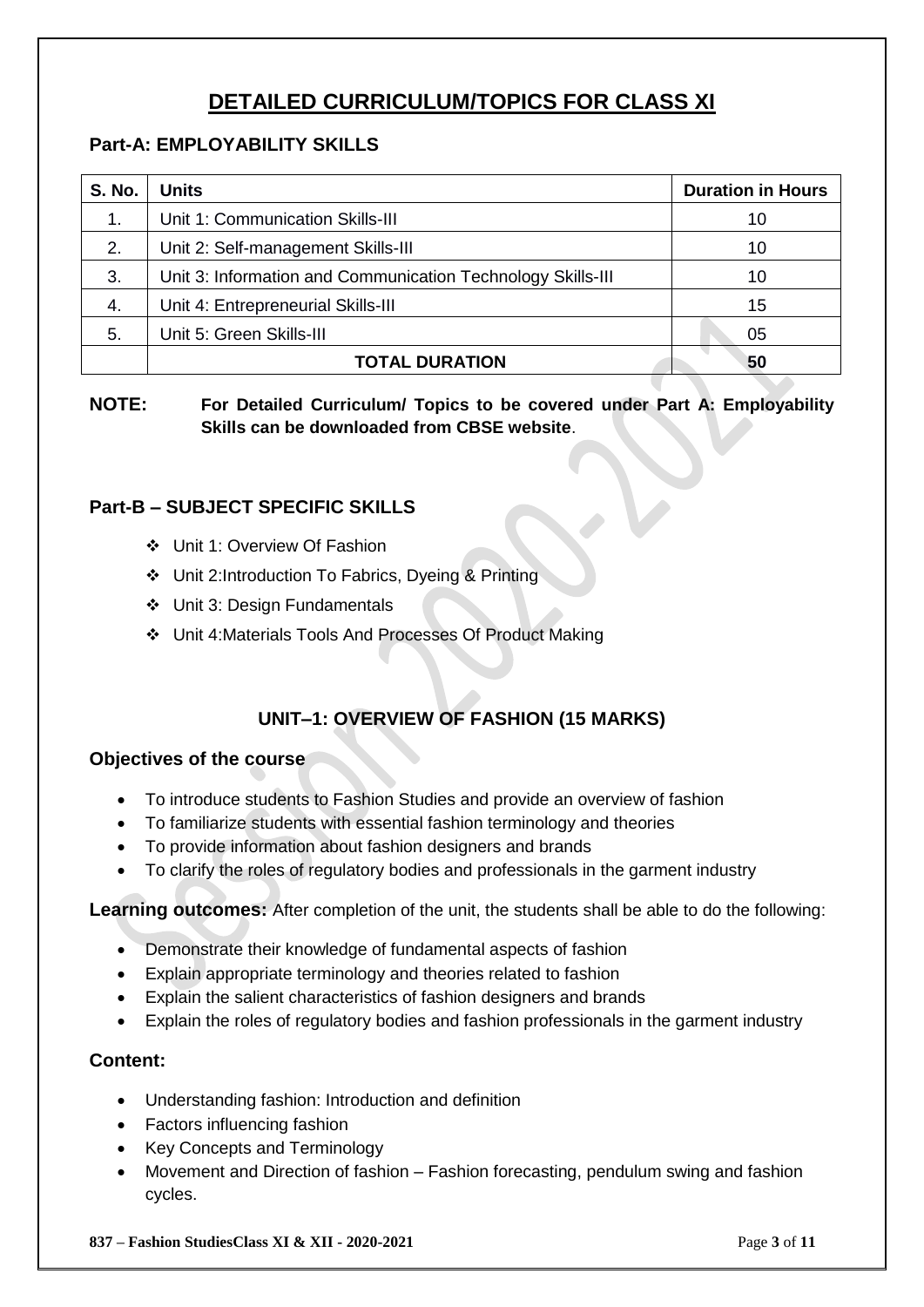# **DETAILED CURRICULUM/TOPICS FOR CLASS XI**

# **Part-A: EMPLOYABILITY SKILLS**

| <b>S. No.</b> | <b>Units</b>                                                | <b>Duration in Hours</b> |
|---------------|-------------------------------------------------------------|--------------------------|
| $\mathbf 1$ . | Unit 1: Communication Skills-III                            | 10                       |
| 2.            | Unit 2: Self-management Skills-III                          | 10                       |
| 3.            | Unit 3: Information and Communication Technology Skills-III | 10                       |
| 4.            | Unit 4: Entrepreneurial Skills-III                          | 15                       |
| 5.            | Unit 5: Green Skills-III                                    | 05                       |
|               | <b>TOTAL DURATION</b>                                       | 50                       |

**NOTE: For Detailed Curriculum/ Topics to be covered under Part A: Employability Skills can be downloaded from CBSE website**.

# **Part-B – SUBJECT SPECIFIC SKILLS**

- Unit 1: Overview Of Fashion
- Unit 2:Introduction To Fabrics, Dyeing & Printing
- Unit 3: Design Fundamentals
- Unit 4:Materials Tools And Processes Of Product Making

# **UNIT–1: OVERVIEW OF FASHION (15 MARKS)**

#### **Objectives of the course**

- To introduce students to Fashion Studies and provide an overview of fashion
- To familiarize students with essential fashion terminology and theories
- To provide information about fashion designers and brands
- To clarify the roles of regulatory bodies and professionals in the garment industry

#### **Learning outcomes:** After completion of the unit, the students shall be able to do the following:

- Demonstrate their knowledge of fundamental aspects of fashion
- Explain appropriate terminology and theories related to fashion
- Explain the salient characteristics of fashion designers and brands
- Explain the roles of regulatory bodies and fashion professionals in the garment industry

## **Content:**

- Understanding fashion: Introduction and definition
- Factors influencing fashion
- Key Concepts and Terminology
- Movement and Direction of fashion Fashion forecasting, pendulum swing and fashion cycles.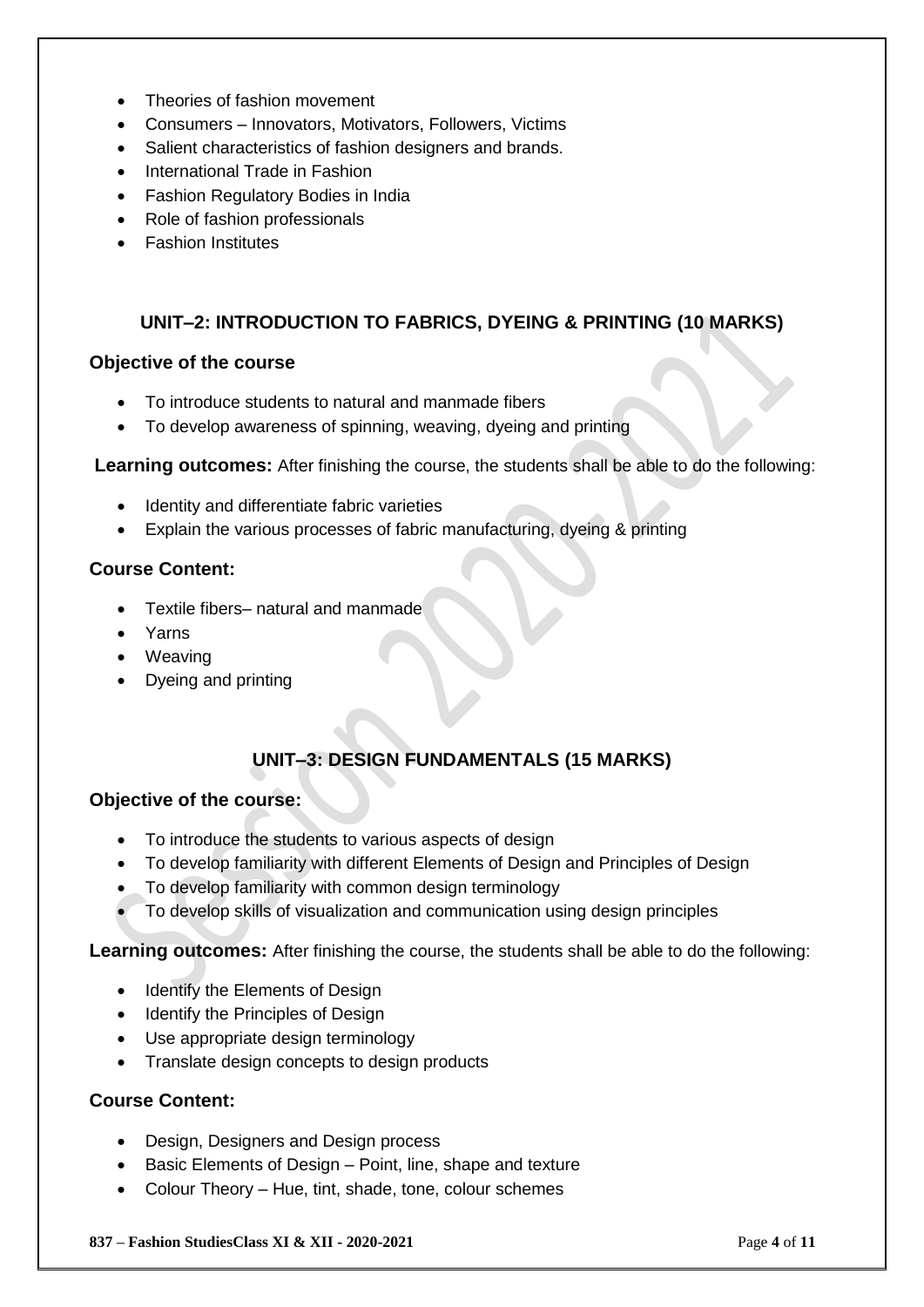- Theories of fashion movement
- Consumers Innovators, Motivators, Followers, Victims
- Salient characteristics of fashion designers and brands.
- International Trade in Fashion
- Fashion Regulatory Bodies in India
- Role of fashion professionals
- Fashion Institutes

#### **UNIT–2: INTRODUCTION TO FABRICS, DYEING & PRINTING (10 MARKS)**

#### **Objective of the course**

- To introduce students to natural and manmade fibers
- To develop awareness of spinning, weaving, dyeing and printing

**Learning outcomes:** After finishing the course, the students shall be able to do the following:

- Identity and differentiate fabric varieties
- Explain the various processes of fabric manufacturing, dyeing & printing

#### **Course Content:**

- Textile fibers– natural and manmade
- Yarns
- Weaving
- Dyeing and printing

# **UNIT–3: DESIGN FUNDAMENTALS (15 MARKS)**

#### **Objective of the course:**

- To introduce the students to various aspects of design
- To develop familiarity with different Elements of Design and Principles of Design
- To develop familiarity with common design terminology
- To develop skills of visualization and communication using design principles

**Learning outcomes:** After finishing the course, the students shall be able to do the following:

- Identify the Elements of Design
- Identify the Principles of Design
- Use appropriate design terminology
- Translate design concepts to design products

#### **Course Content:**

- Design, Designers and Design process
- Basic Elements of Design Point, line, shape and texture
- Colour Theory Hue, tint, shade, tone, colour schemes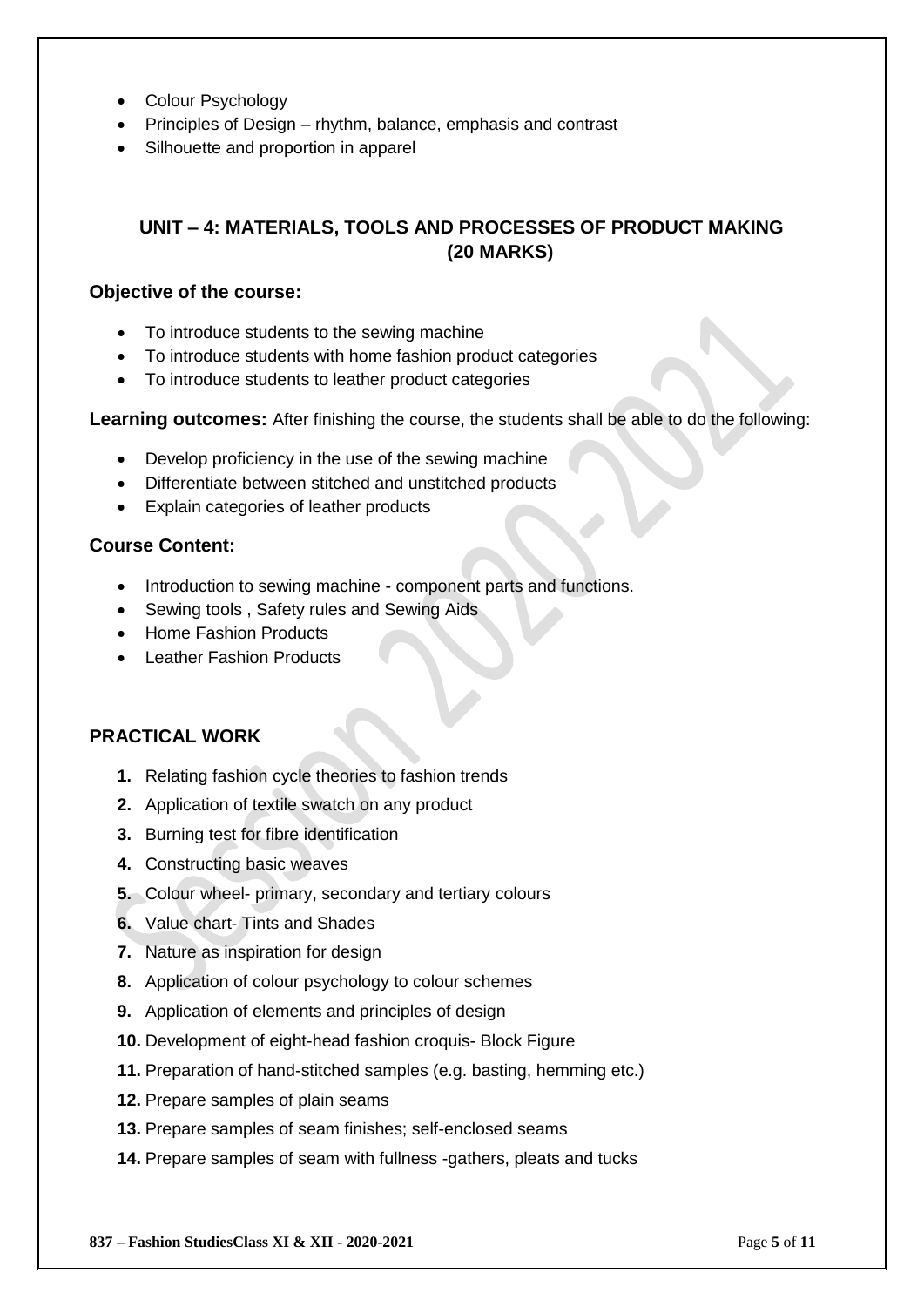- Colour Psychology
- Principles of Design rhythm, balance, emphasis and contrast
- Silhouette and proportion in apparel

# **UNIT – 4: MATERIALS, TOOLS AND PROCESSES OF PRODUCT MAKING (20 MARKS)**

#### **Objective of the course:**

- To introduce students to the sewing machine
- To introduce students with home fashion product categories
- To introduce students to leather product categories

**Learning outcomes:** After finishing the course, the students shall be able to do the following:

- Develop proficiency in the use of the sewing machine
- Differentiate between stitched and unstitched products
- Explain categories of leather products

#### **Course Content:**

- Introduction to sewing machine component parts and functions.
- Sewing tools , Safety rules and Sewing Aids
- Home Fashion Products
- Leather Fashion Products

#### **PRACTICAL WORK**

- **1.** Relating fashion cycle theories to fashion trends
- **2.** Application of textile swatch on any product
- **3.** Burning test for fibre identification
- **4.** Constructing basic weaves
- **5.** Colour wheel- primary, secondary and tertiary colours
- **6.** Value chart- Tints and Shades
- **7.** Nature as inspiration for design
- **8.** Application of colour psychology to colour schemes
- **9.** Application of elements and principles of design
- **10.** Development of eight-head fashion croquis- Block Figure
- **11.** Preparation of hand-stitched samples (e.g. basting, hemming etc.)
- **12.** Prepare samples of plain seams
- **13.** Prepare samples of seam finishes; self-enclosed seams
- **14.** Prepare samples of seam with fullness -gathers, pleats and tucks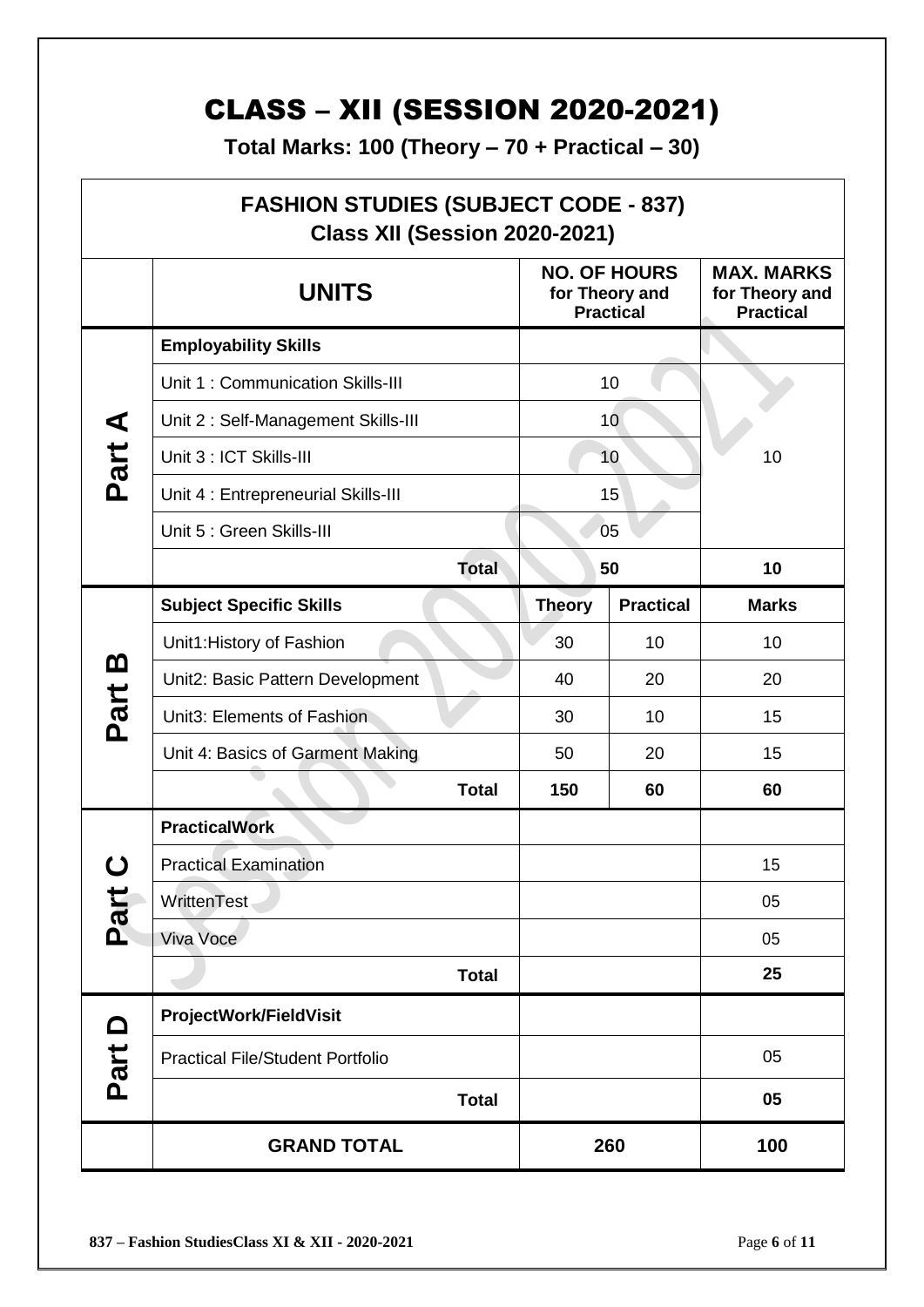# CLASS – XII (SESSION 2020-2021)

**Total Marks: 100 (Theory – 70 + Practical – 30)**

| <b>FASHION STUDIES (SUBJECT CODE - 837)</b><br><b>Class XII (Session 2020-2021)</b> |                                         |                                                           |                  |                                                         |  |  |
|-------------------------------------------------------------------------------------|-----------------------------------------|-----------------------------------------------------------|------------------|---------------------------------------------------------|--|--|
|                                                                                     | <b>UNITS</b>                            | <b>NO. OF HOURS</b><br>for Theory and<br><b>Practical</b> |                  | <b>MAX. MARKS</b><br>for Theory and<br><b>Practical</b> |  |  |
| Part A                                                                              | <b>Employability Skills</b>             |                                                           |                  |                                                         |  |  |
|                                                                                     | Unit 1: Communication Skills-III        | 10                                                        |                  |                                                         |  |  |
|                                                                                     | Unit 2: Self-Management Skills-III      | 10                                                        |                  |                                                         |  |  |
|                                                                                     | Unit 3 : ICT Skills-III                 | 10                                                        |                  | 10                                                      |  |  |
|                                                                                     | Unit 4 : Entrepreneurial Skills-III     | 15                                                        |                  |                                                         |  |  |
|                                                                                     | Unit 5 : Green Skills-III               | 05                                                        |                  |                                                         |  |  |
|                                                                                     | <b>Total</b>                            |                                                           | 50               | 10                                                      |  |  |
|                                                                                     | <b>Subject Specific Skills</b>          | <b>Theory</b>                                             | <b>Practical</b> | <b>Marks</b>                                            |  |  |
|                                                                                     | Unit1: History of Fashion               | 30                                                        | 10               | 10                                                      |  |  |
| <u>ന</u>                                                                            | Unit2: Basic Pattern Development        | 40                                                        | 20               | 20                                                      |  |  |
| Part                                                                                | Unit3: Elements of Fashion              | 30                                                        | 10               | 15                                                      |  |  |
|                                                                                     | Unit 4: Basics of Garment Making        | 50                                                        | 20               | 15                                                      |  |  |
|                                                                                     | <b>Total</b>                            | 150                                                       | 60               | 60                                                      |  |  |
|                                                                                     | <b>PracticalWork</b>                    |                                                           |                  |                                                         |  |  |
| ( )                                                                                 | <b>Practical Examination</b>            |                                                           |                  | 15                                                      |  |  |
| Part                                                                                | WrittenTest                             |                                                           |                  | 05                                                      |  |  |
|                                                                                     | Viva Voce                               |                                                           |                  | 05                                                      |  |  |
|                                                                                     | <b>Total</b>                            |                                                           |                  | 25                                                      |  |  |
| $\Omega$                                                                            | ProjectWork/FieldVisit                  |                                                           |                  |                                                         |  |  |
| Part                                                                                | <b>Practical File/Student Portfolio</b> |                                                           |                  | 05                                                      |  |  |
|                                                                                     | <b>Total</b>                            |                                                           |                  | 05                                                      |  |  |
|                                                                                     | <b>GRAND TOTAL</b>                      |                                                           | 260              | 100                                                     |  |  |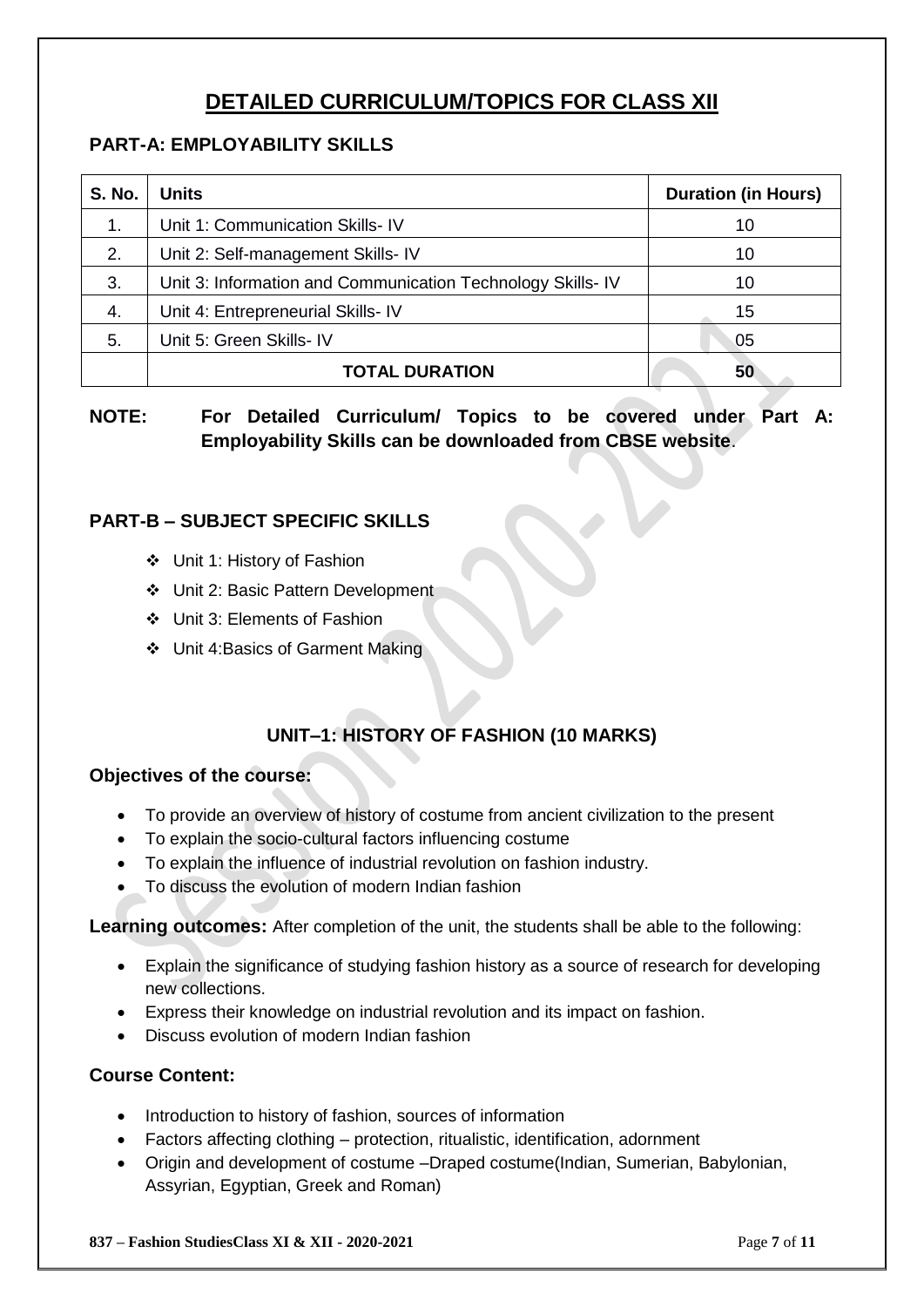# **DETAILED CURRICULUM/TOPICS FOR CLASS XII**

# **PART-A: EMPLOYABILITY SKILLS**

| <b>S. No.</b> | <b>Units</b>                                               | <b>Duration (in Hours)</b> |
|---------------|------------------------------------------------------------|----------------------------|
| 1.            | Unit 1: Communication Skills- IV                           | 10                         |
| 2.            | Unit 2: Self-management Skills- IV                         | 10                         |
| 3.            | Unit 3: Information and Communication Technology Skills-IV | 10                         |
| 4.            | Unit 4: Entrepreneurial Skills- IV                         | 15                         |
| 5.            | Unit 5: Green Skills- IV                                   | 05                         |
|               | <b>TOTAL DURATION</b>                                      | 50                         |

# **NOTE: For Detailed Curriculum/ Topics to be covered under Part A: Employability Skills can be downloaded from CBSE website**.

# **PART-B – SUBJECT SPECIFIC SKILLS**

- Unit 1: History of Fashion
- Unit 2: Basic Pattern Development
- Unit 3: Elements of Fashion
- Unit 4:Basics of Garment Making

# **UNIT–1: HISTORY OF FASHION (10 MARKS)**

#### **Objectives of the course:**

- To provide an overview of history of costume from ancient civilization to the present
- To explain the socio-cultural factors influencing costume
- To explain the influence of industrial revolution on fashion industry.
- To discuss the evolution of modern Indian fashion

**Learning outcomes:** After completion of the unit, the students shall be able to the following:

- Explain the significance of studying fashion history as a source of research for developing new collections.
- Express their knowledge on industrial revolution and its impact on fashion.
- Discuss evolution of modern Indian fashion

#### **Course Content:**

- Introduction to history of fashion, sources of information
- Factors affecting clothing protection, ritualistic, identification, adornment
- Origin and development of costume –Draped costume(Indian, Sumerian, Babylonian, Assyrian, Egyptian, Greek and Roman)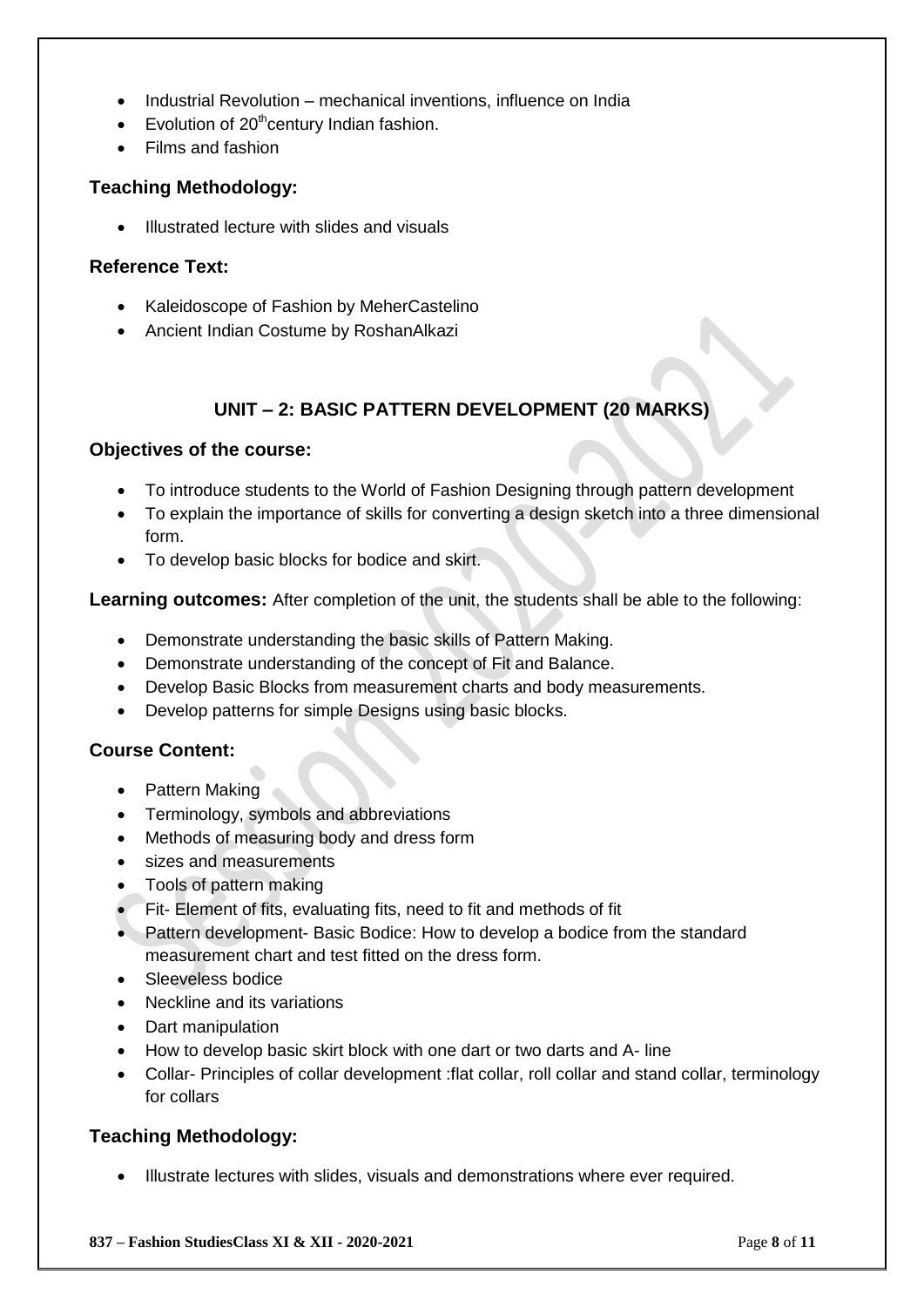- Industrial Revolution mechanical inventions, influence on India
- Evolution of  $20<sup>th</sup>$ century Indian fashion.
- Films and fashion

#### **Teaching Methodology:**

Illustrated lecture with slides and visuals

#### **Reference Text:**

- Kaleidoscope of Fashion by MeherCastelino
- Ancient Indian Costume by RoshanAlkazi

## **UNIT – 2: BASIC PATTERN DEVELOPMENT (20 MARKS)**

#### **Objectives of the course:**

- To introduce students to the World of Fashion Designing through pattern development
- To explain the importance of skills for converting a design sketch into a three dimensional form.
- To develop basic blocks for bodice and skirt.

**Learning outcomes:** After completion of the unit, the students shall be able to the following:

- Demonstrate understanding the basic skills of Pattern Making.
- Demonstrate understanding of the concept of Fit and Balance.
- Develop Basic Blocks from measurement charts and body measurements.
- Develop patterns for simple Designs using basic blocks.

#### **Course Content:**

- Pattern Making
- Terminology, symbols and abbreviations
- Methods of measuring body and dress form
- sizes and measurements
- Tools of pattern making
- Fit- Element of fits, evaluating fits, need to fit and methods of fit
- Pattern development- Basic Bodice: How to develop a bodice from the standard measurement chart and test fitted on the dress form.
- Sleeveless bodice
- Neckline and its variations
- Dart manipulation
- How to develop basic skirt block with one dart or two darts and A- line
- Collar- Principles of collar development :flat collar, roll collar and stand collar, terminology for collars

## **Teaching Methodology:**

Illustrate lectures with slides, visuals and demonstrations where ever required.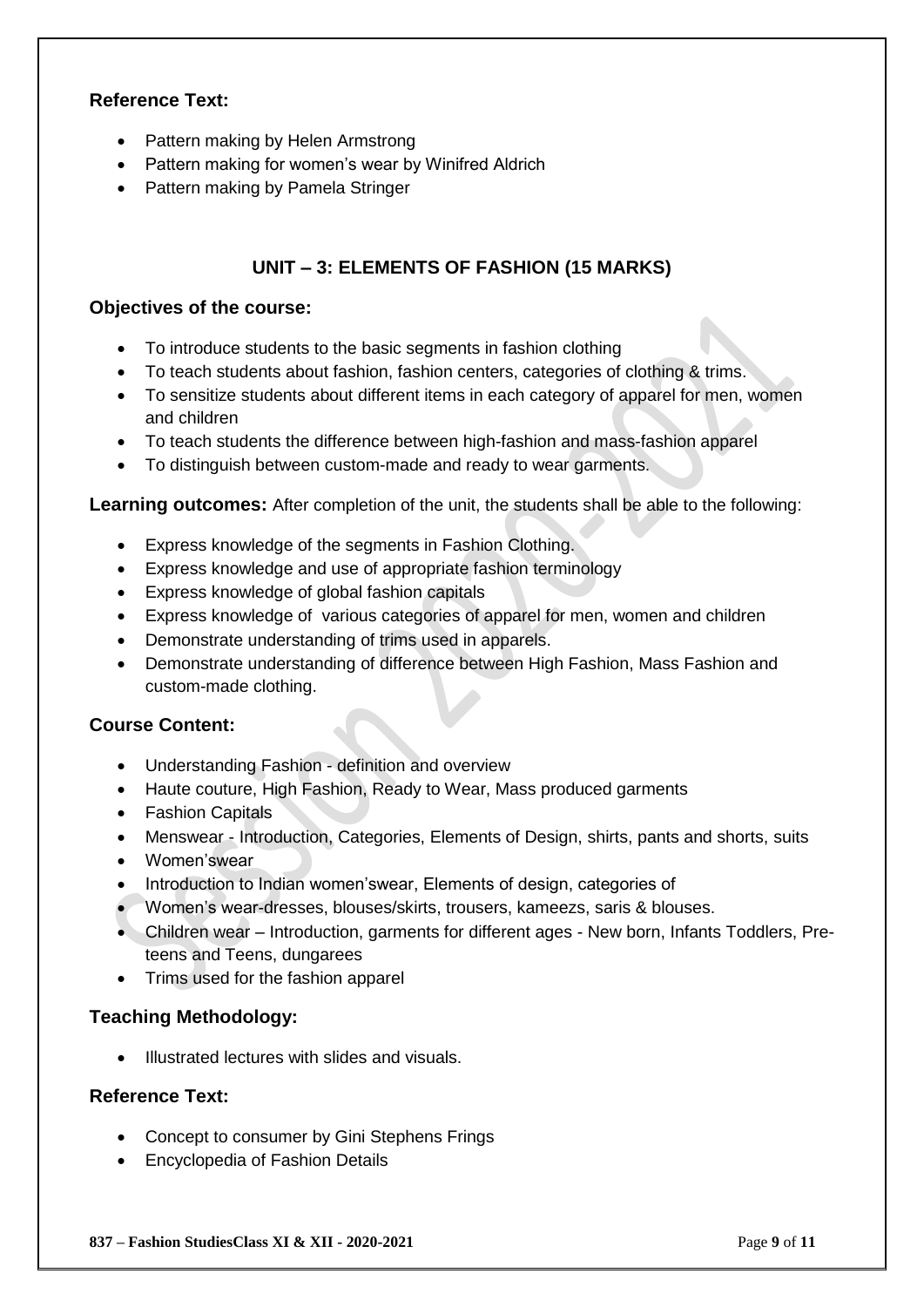#### **Reference Text:**

- Pattern making by Helen Armstrong
- Pattern making for women's wear by Winifred Aldrich
- Pattern making by Pamela Stringer

#### **UNIT – 3: ELEMENTS OF FASHION (15 MARKS)**

#### **Objectives of the course:**

- To introduce students to the basic segments in fashion clothing
- To teach students about fashion, fashion centers, categories of clothing & trims.
- To sensitize students about different items in each category of apparel for men, women and children
- To teach students the difference between high-fashion and mass-fashion apparel
- To distinguish between custom-made and ready to wear garments.

#### **Learning outcomes:** After completion of the unit, the students shall be able to the following:

- Express knowledge of the segments in Fashion Clothing.
- Express knowledge and use of appropriate fashion terminology
- Express knowledge of global fashion capitals
- Express knowledge of various categories of apparel for men, women and children
- Demonstrate understanding of trims used in apparels.
- Demonstrate understanding of difference between High Fashion, Mass Fashion and custom-made clothing.

#### **Course Content:**

- Understanding Fashion definition and overview
- Haute couture, High Fashion, Ready to Wear, Mass produced garments
- Fashion Capitals
- Menswear Introduction, Categories, Elements of Design, shirts, pants and shorts, suits
- Women'swear
- Introduction to Indian women'swear, Elements of design, categories of
- Women's wear-dresses, blouses/skirts, trousers, kameezs, saris & blouses.
- Children wear Introduction, garments for different ages New born, Infants Toddlers, Preteens and Teens, dungarees
- Trims used for the fashion apparel

#### **Teaching Methodology:**

• Illustrated lectures with slides and visuals.

#### **Reference Text:**

- Concept to consumer by Gini Stephens Frings
- Encyclopedia of Fashion Details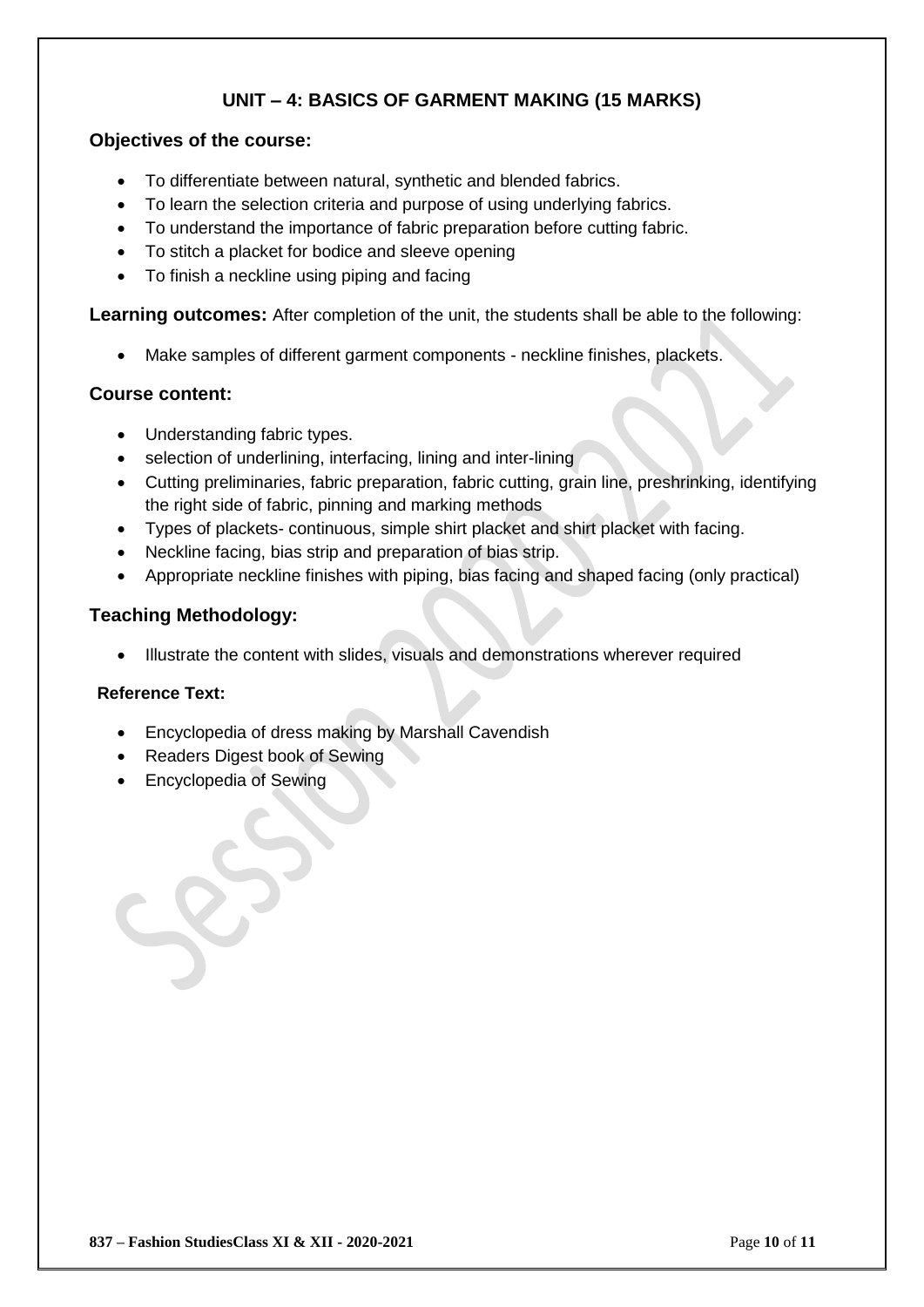# **UNIT – 4: BASICS OF GARMENT MAKING (15 MARKS)**

#### **Objectives of the course:**

- To differentiate between natural, synthetic and blended fabrics.
- To learn the selection criteria and purpose of using underlying fabrics.
- To understand the importance of fabric preparation before cutting fabric.
- To stitch a placket for bodice and sleeve opening
- To finish a neckline using piping and facing

**Learning outcomes:** After completion of the unit, the students shall be able to the following:

Make samples of different garment components - neckline finishes, plackets.

#### **Course content:**

- Understanding fabric types.
- selection of underlining, interfacing, lining and inter-lining
- Cutting preliminaries, fabric preparation, fabric cutting, grain line, preshrinking, identifying the right side of fabric, pinning and marking methods
- Types of plackets- continuous, simple shirt placket and shirt placket with facing.
- Neckline facing, bias strip and preparation of bias strip.
- Appropriate neckline finishes with piping, bias facing and shaped facing (only practical)

#### **Teaching Methodology:**

Illustrate the content with slides, visuals and demonstrations wherever required

#### **Reference Text:**

- Encyclopedia of dress making by Marshall Cavendish
- Readers Digest book of Sewing
- Encyclopedia of Sewing